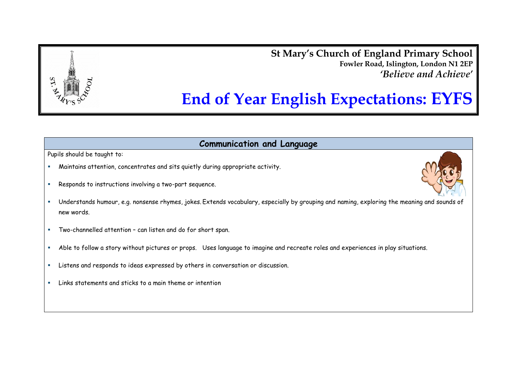**St Mary's Church of England Primary School Fowler Road, Islington, London N1 2EP** *'Believe and Achieve'*



**Communication and Language**

Pupils should be taught to:

- Maintains attention, concentrates and sits quietly during appropriate activity.
- **Responds to instructions involving a two-part sequence.**
- Understands humour, e.g. nonsense rhymes, jokes. Extends vocabulary, especially by grouping and naming, exploring the meaning and sounds of new words.
- Two-channelled attention can listen and do for short span.
- Able to follow a story without pictures or props. Uses language to imagine and recreate roles and experiences in play situations.
- Listens and responds to ideas expressed by others in conversation or discussion.
- Links statements and sticks to a main theme or intention

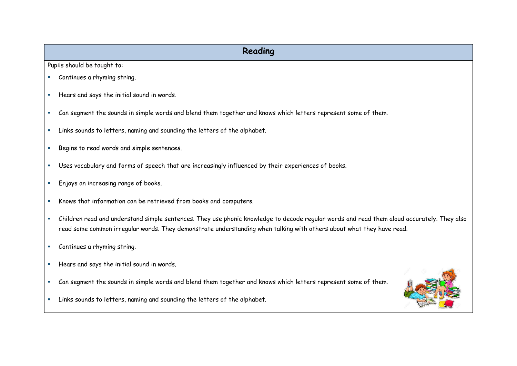## **Reading**

Pupils should be taught to:

- Continues a rhyming string.
- Hears and says the initial sound in words.
- Can segment the sounds in simple words and blend them together and knows which letters represent some of them.
- Links sounds to letters, naming and sounding the letters of the alphabet.
- Begins to read words and simple sentences.
- Uses vocabulary and forms of speech that are increasingly influenced by their experiences of books.
- **Enjoys an increasing range of books.**
- Knows that information can be retrieved from books and computers.
- Children read and understand simple sentences. They use phonic knowledge to decode regular words and read them aloud accurately. They also read some common irregular words. They demonstrate understanding when talking with others about what they have read.
- **Continues a rhyming string.**
- Hears and says the initial sound in words.
- Can segment the sounds in simple words and blend them together and knows which letters represent some of them.



Links sounds to letters, naming and sounding the letters of the alphabet.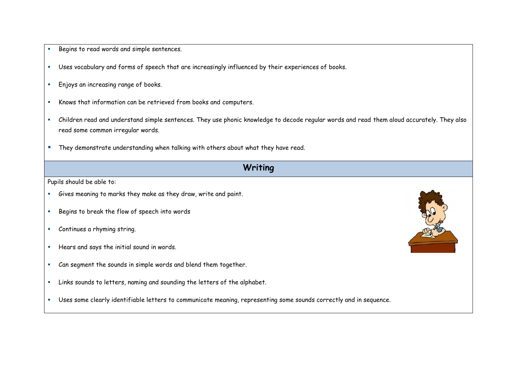- Begins to read words and simple sentences.
- Uses vocabulary and forms of speech that are increasingly influenced by their experiences of books.
- **Enjoys an increasing range of books.**
- Knows that information can be retrieved from books and computers.
- Children read and understand simple sentences. They use phonic knowledge to decode regular words and read them aloud accurately. They also read some common irregular words.
- **They demonstrate understanding when talking with others about what they have read.**

## **Writing**

Pupils should be able to:

- Gives meaning to marks they make as they draw, write and paint.
- Begins to break the flow of speech into words
- Continues a rhyming string.
- Hears and says the initial sound in words.
- Can segment the sounds in simple words and blend them together.
- Links sounds to letters, naming and sounding the letters of the alphabet.
- Uses some clearly identifiable letters to communicate meaning, representing some sounds correctly and in sequence.